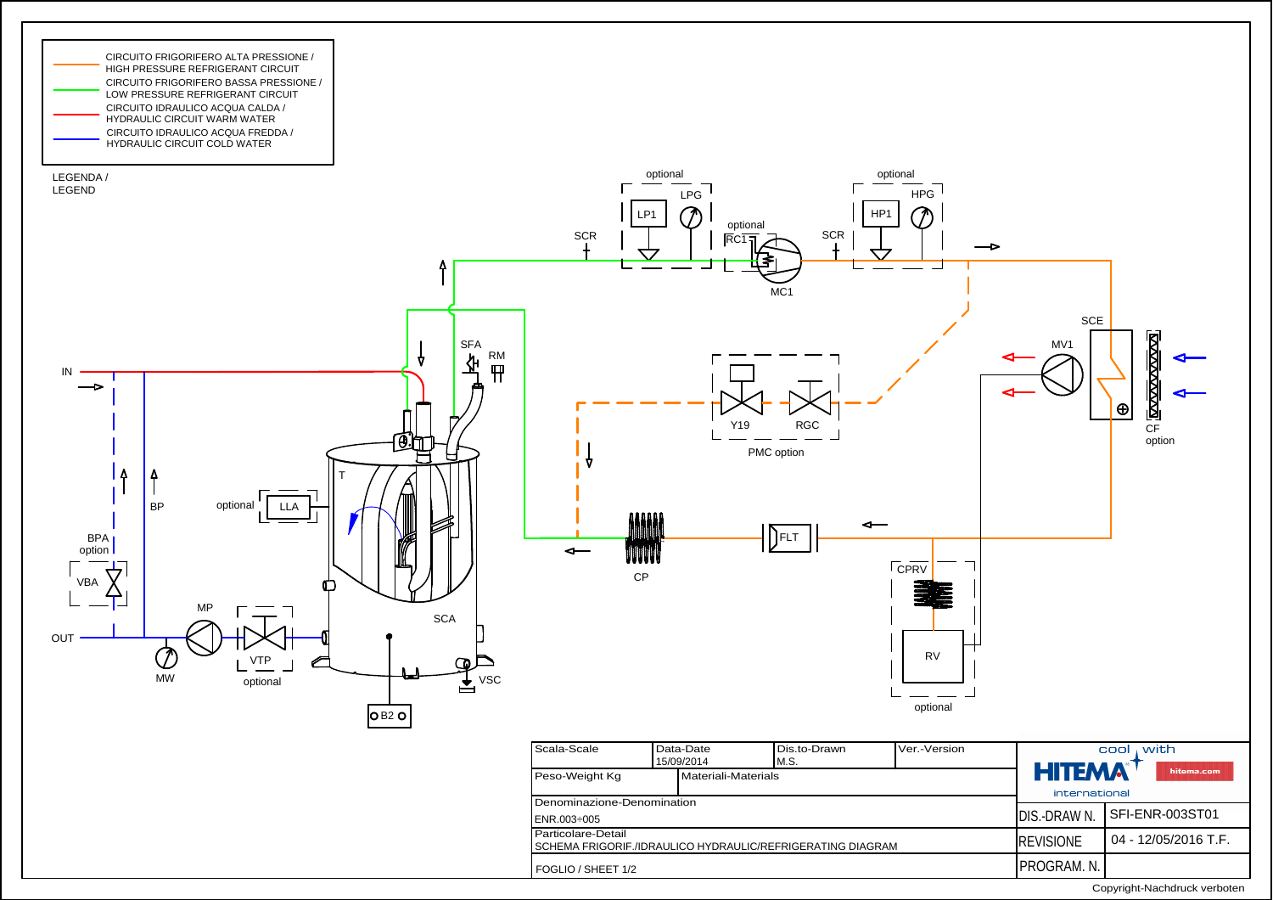

Copyright-Nachdruck verboten